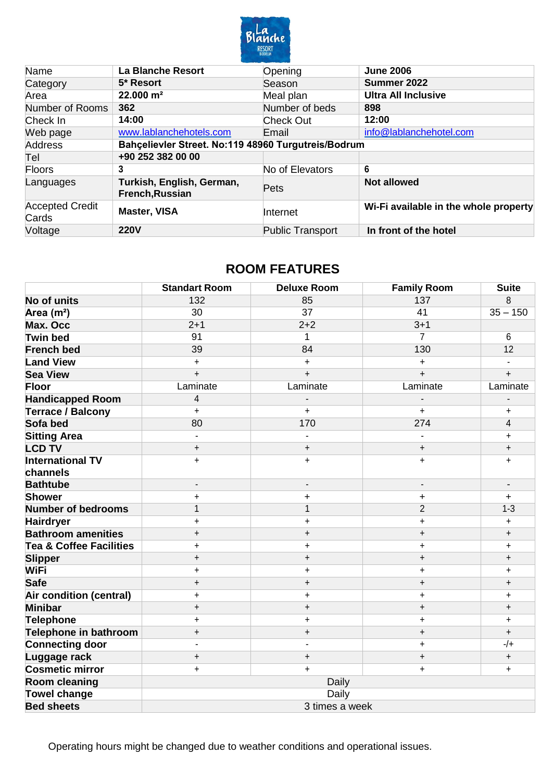

| Name                            | <b>La Blanche Resort</b>                            | Opening                 | <b>June 2006</b>                      |
|---------------------------------|-----------------------------------------------------|-------------------------|---------------------------------------|
| Category                        | 5* Resort                                           | Season                  | Summer 2022                           |
| Area                            | 22.000 m <sup>2</sup>                               | Meal plan               | <b>Ultra All Inclusive</b>            |
| Number of Rooms                 | 362                                                 | Number of beds          | 898                                   |
| Check In                        | 14:00                                               | <b>Check Out</b>        | 12:00                                 |
| Web page                        | www.lablanchehotels.com                             | Email                   | info@lablanchehotel.com               |
| Address                         | Bahçelievler Street. No:119 48960 Turgutreis/Bodrum |                         |                                       |
| Tel                             | +90 252 382 00 00                                   |                         |                                       |
| Floors                          | 3                                                   | No of Elevators         | 6                                     |
| Languages                       | Turkish, English, German,<br>French, Russian        | Pets                    | <b>Not allowed</b>                    |
| <b>Accepted Credit</b><br>Cards | <b>Master, VISA</b>                                 | Internet                | Wi-Fi available in the whole property |
| Voltage                         | <b>220V</b>                                         | <b>Public Transport</b> | In front of the hotel                 |

## **ROOM FEATURES**

|                                     | <b>Standart Room</b>     | <b>Deluxe Room</b>       | <b>Family Room</b>       | <b>Suite</b>             |  |
|-------------------------------------|--------------------------|--------------------------|--------------------------|--------------------------|--|
| <b>No of units</b>                  | 132                      | 85                       | 137                      | 8                        |  |
| Area (m <sup>2</sup> )              | 30                       | 37                       | 41                       | $35 - 150$               |  |
| Max. Occ                            | $2 + 1$                  | $2 + 2$                  | $3 + 1$                  |                          |  |
| <b>Twin bed</b>                     | 91                       | 1                        | 7                        | 6                        |  |
| <b>French bed</b>                   | 39                       | 84                       | 130                      | 12                       |  |
| <b>Land View</b>                    | $\ddot{}$                | $\ddot{}$                | $\ddot{}$                | $\blacksquare$           |  |
| <b>Sea View</b>                     | $\pmb{+}$                | $\ddot{}$                | $\pmb{+}$                | $\pmb{+}$                |  |
| <b>Floor</b>                        | Laminate                 | Laminate                 | Laminate                 | Laminate                 |  |
| <b>Handicapped Room</b>             | 4                        |                          |                          |                          |  |
| <b>Terrace / Balcony</b>            | $\ddot{}$                | $\ddot{}$                | $\ddot{}$                | $\ddot{}$                |  |
| Sofa bed                            | 80                       | 170                      | 274                      | $\overline{\mathbf{4}}$  |  |
| <b>Sitting Area</b>                 | $\blacksquare$           |                          |                          | $\ddot{}$                |  |
| <b>LCD TV</b>                       | $\ddot{}$                | $\ddot{}$                | $\pmb{+}$                | $\ddot{}$                |  |
| <b>International TV</b><br>channels | $\ddot{}$                | $\ddagger$               | $\ddot{}$                | $\ddot{}$                |  |
| <b>Bathtube</b>                     | $\overline{\phantom{a}}$ | $\overline{\phantom{a}}$ | $\overline{\phantom{a}}$ | $\overline{\phantom{a}}$ |  |
| <b>Shower</b>                       | $\ddot{}$                | $\ddot{}$                | $\ddot{}$                | $\ddot{}$                |  |
| <b>Number of bedrooms</b>           | $\mathbf{1}$             | $\mathbf{1}$             | $\overline{2}$           | $1 - 3$                  |  |
| <b>Hairdryer</b>                    | $\ddot{}$                | $\ddot{}$                | $\ddag$                  | $\ddot{}$                |  |
| <b>Bathroom amenities</b>           | $\pmb{+}$                | $\ddot{}$                | $\ddot{}$                | $\ddot{}$                |  |
| <b>Tea &amp; Coffee Facilities</b>  | $\ddot{}$                | $\ddot{}$                | $\ddagger$               | $\ddot{}$                |  |
| <b>Slipper</b>                      | $\ddot{}$                | $\ddot{}$                | $\pmb{+}$                | $\ddot{}$                |  |
| <b>WiFi</b>                         | $\ddot{}$                | $\ddot{}$                | $\ddagger$               | $\pmb{+}$                |  |
| <b>Safe</b>                         | $\ddot{}$                | $\ddot{}$                | $\ddot{}$                | $\ddot{}$                |  |
| Air condition (central)             | $\ddot{}$                | $\ddot{}$                | $\ddot{}$                | $\ddot{}$                |  |
| <b>Minibar</b>                      | $\ddot{}$                | $\ddot{}$                | $\pmb{+}$                | $\ddot{}$                |  |
| <b>Telephone</b>                    | $\ddagger$               | $\ddot{}$                | $\ddot{}$                | $\ddagger$               |  |
| <b>Telephone in bathroom</b>        | $\ddot{}$                | $\ddot{}$                | $\ddot{}$                | $\pmb{+}$                |  |
| <b>Connecting door</b>              |                          |                          | $\ddot{}$                | $-/+$                    |  |
| Luggage rack                        | $\ddot{}$                | $\ddot{}$                | $\ddot{}$                | $\ddot{}$                |  |
| <b>Cosmetic mirror</b>              | $\ddot{}$                | $\ddot{}$                | $\ddagger$               | $\ddot{}$                |  |
| <b>Room cleaning</b>                |                          | Daily                    |                          |                          |  |
| <b>Towel change</b>                 |                          | Daily                    |                          |                          |  |
| <b>Bed sheets</b>                   | 3 times a week           |                          |                          |                          |  |

Operating hours might be changed due to weather conditions and operational issues.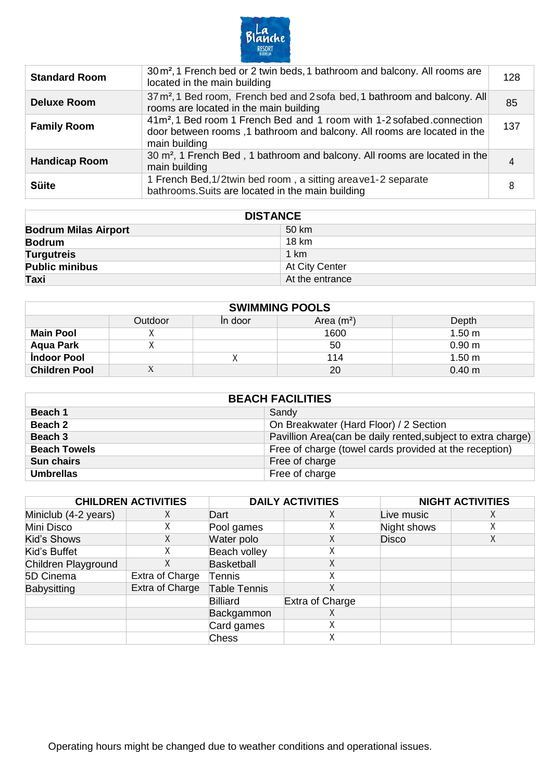

| <b>Standard Room</b> | $30 \,\mathrm{m}^2$ , 1 French bed or 2 twin beds, 1 bathroom and balcony. All rooms are<br>located in the main building                                                       | 128 |
|----------------------|--------------------------------------------------------------------------------------------------------------------------------------------------------------------------------|-----|
| <b>Deluxe Room</b>   | 37 m <sup>2</sup> , 1 Bed room, French bed and 2 sofa bed, 1 bathroom and balcony. All<br>rooms are located in the main building                                               | 85  |
| <b>Family Room</b>   | 41m <sup>2</sup> , 1 Bed room 1 French Bed and 1 room with 1-2 sofabed connection<br>door between rooms, 1 bathroom and balcony. All rooms are located in the<br>main building | 137 |
| <b>Handicap Room</b> | 30 m <sup>2</sup> , 1 French Bed, 1 bathroom and balcony. All rooms are located in the<br>main building                                                                        |     |
| <b>Süite</b>         | 1 French Bed, 1/2twin bed room, a sitting areave 1-2 separate<br>bathrooms. Suits are located in the main building                                                             |     |

| <b>DISTANCE</b>             |                 |  |
|-----------------------------|-----------------|--|
| <b>Bodrum Milas Airport</b> | 50 km           |  |
| <b>Bodrum</b>               | 18 km           |  |
| <b>Turgutreis</b>           | 1 km            |  |
| <b>Public minibus</b>       | At City Center  |  |
| Taxi                        | At the entrance |  |

| <b>SWIMMING POOLS</b> |         |         |             |                   |
|-----------------------|---------|---------|-------------|-------------------|
|                       | Outdoor | In door | Area $(m2)$ | Depth             |
| <b>Main Pool</b>      |         |         | 1600        | 1.50 <sub>m</sub> |
| <b>Aqua Park</b>      |         |         | 50          | 0.90 m            |
| <b>Indoor Pool</b>    |         |         | 114         | 1.50 m            |
| <b>Children Pool</b>  | X       |         | 20          | 0.40 m            |

| <b>BEACH FACILITIES</b> |                                                              |  |  |
|-------------------------|--------------------------------------------------------------|--|--|
| Beach 1                 | Sandy                                                        |  |  |
| Beach 2                 | On Breakwater (Hard Floor) / 2 Section                       |  |  |
| Beach 3                 | Pavillion Area(can be daily rented, subject to extra charge) |  |  |
| <b>Beach Towels</b>     | Free of charge (towel cards provided at the reception)       |  |  |
| <b>Sun chairs</b>       | Free of charge                                               |  |  |
| <b>Umbrellas</b>        | Free of charge                                               |  |  |

|                      | <b>CHILDREN ACTIVITIES</b> |                     | <b>DAILY ACTIVITIES</b> |              | <b>NIGHT ACTIVITIES</b> |
|----------------------|----------------------------|---------------------|-------------------------|--------------|-------------------------|
| Miniclub (4-2 years) | X                          | Dart                | Χ                       | Live music   |                         |
| Mini Disco           |                            | Pool games          | ∧                       | Night shows  |                         |
| Kid's Shows          |                            | Water polo          | ∧                       | <b>Disco</b> |                         |
| Kid's Buffet         |                            | Beach volley        |                         |              |                         |
| Children Playground  |                            | <b>Basketball</b>   | ^                       |              |                         |
| 5D Cinema            | Extra of Charge            | Tennis              |                         |              |                         |
| <b>Babysitting</b>   | Extra of Charge            | <b>Table Tennis</b> |                         |              |                         |
|                      |                            | <b>Billiard</b>     | <b>Extra of Charge</b>  |              |                         |
|                      |                            | Backgammon          | ∧                       |              |                         |
|                      |                            | Card games          | ∧                       |              |                         |
|                      |                            | <b>Chess</b>        | ⋏                       |              |                         |

Operating hours might be changed due to weather conditions and operational issues.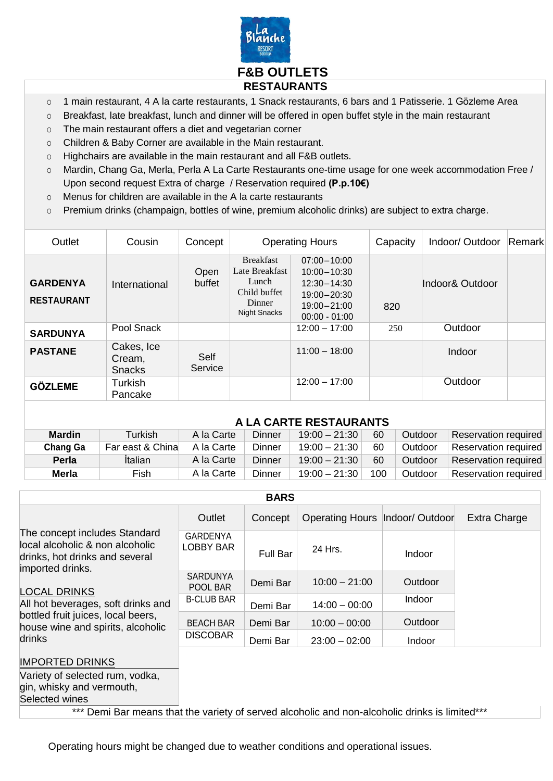

- o 1 main restaurant, 4 A la carte restaurants, 1 Snack restaurants, 6 bars and 1 Patisserie. 1 Gözleme Area
- o Breakfast, late breakfast, lunch and dinner will be offered in open buffet style in the main restaurant
- o The main restaurant offers a diet and vegetarian corner
- o Children & Baby Corner are available in the Main restaurant.
- o Highchairs are available in the main restaurant and all F&B outlets.
- o Mardin, Chang Ga, Merla, Perla A La Carte Restaurants one-time usage for one week accommodation Free / Upon second request Extra of charge / Reservation required **(P.p.10€)**
- o Menus for children are available in the A la carte restaurants
- o Premium drinks (champaign, bottles of wine, premium alcoholic drinks) are subject to extra charge.

| Outlet                               | Cousin                                | Concept         | <b>Operating Hours</b>                                                                       |                                                                                                                | Capacity | Indoor/ Outdoor | Remark |
|--------------------------------------|---------------------------------------|-----------------|----------------------------------------------------------------------------------------------|----------------------------------------------------------------------------------------------------------------|----------|-----------------|--------|
| <b>GARDENYA</b><br><b>RESTAURANT</b> | International                         | Open<br>buffet  | <b>Breakfast</b><br>Late Breakfast<br>Lunch<br>Child buffet<br>Dinner<br><b>Night Snacks</b> | $07:00 - 10:00$<br>$10:00 - 10:30$<br>$12:30 - 14:30$<br>$19:00 - 20:30$<br>$19:00 - 21:00$<br>$00:00 - 01:00$ | 820      | Indoor& Outdoor |        |
| <b>SARDUNYA</b>                      | Pool Snack                            |                 |                                                                                              | $12:00 - 17:00$                                                                                                | 250      | Outdoor         |        |
| <b>PASTANE</b>                       | Cakes, Ice<br>Cream,<br><b>Snacks</b> | Self<br>Service |                                                                                              | $11:00 - 18:00$                                                                                                |          | Indoor          |        |
| <b>GÖZLEME</b>                       | Turkish<br>Pancake                    |                 |                                                                                              | $12:00 - 17:00$                                                                                                |          | Outdoor         |        |

|                 |                  |            |        | A LA CARTE RESTAURANTS |     |         |                      |
|-----------------|------------------|------------|--------|------------------------|-----|---------|----------------------|
| <b>Mardin</b>   | <b>Turkish</b>   | A la Carte | Dinner | $19:00 - 21:30$        | 60  | Outdoor | Reservation required |
| <b>Chang Ga</b> | Far east & China | A la Carte | Dinner | $19:00 - 21:30$        | 60  | Outdoor | Reservation required |
| <b>Perla</b>    | Italian          | A la Carte | Dinner | $19:00 - 21:30$        | 60  | Outdoor | Reservation required |
| Merla           | Fish             | A la Carte | Dinner | $19:00 - 21:30$        | 100 | Outdoor | Reservation required |

| <b>BARS</b>                                                                                                                                   |                              |                 |                                   |         |              |
|-----------------------------------------------------------------------------------------------------------------------------------------------|------------------------------|-----------------|-----------------------------------|---------|--------------|
|                                                                                                                                               | Outlet                       | Concept         | Operating Hours   Indoor/ Outdoor |         | Extra Charge |
| The concept includes Standard<br>local alcoholic & non alcoholic<br>drinks, hot drinks and several<br>imported drinks.<br><b>LOCAL DRINKS</b> | GARDENYA<br><b>LOBBY BAR</b> | <b>Full Bar</b> | 24 Hrs.                           | Indoor  |              |
|                                                                                                                                               | <b>SARDUNYA</b><br>POOL BAR  | Demi Bar        | $10:00 - 21:00$                   | Outdoor |              |
| All hot beverages, soft drinks and                                                                                                            | <b>B-CLUB BAR</b>            | Demi Bar        | $14:00 - 00:00$                   | Indoor  |              |
| bottled fruit juices, local beers,<br>house wine and spirits, alcoholic                                                                       | <b>BEACH BAR</b>             | Demi Bar        | $10:00 - 00:00$                   | Outdoor |              |
| drinks                                                                                                                                        | <b>DISCOBAR</b>              | Demi Bar        | $23:00 - 02:00$                   | Indoor  |              |
| <b>IMPORTED DRINKS</b>                                                                                                                        |                              |                 |                                   |         |              |
| Variety of selected rum, vodka,                                                                                                               |                              |                 |                                   |         |              |
| gin, whisky and vermouth,<br>Selected wines                                                                                                   |                              |                 |                                   |         |              |
|                                                                                                                                               |                              |                 |                                   |         |              |

\*\*\* Demi Bar means that the variety of served alcoholic and non-alcoholic drinks is limited\*\*\*

Operating hours might be changed due to weather conditions and operational issues.